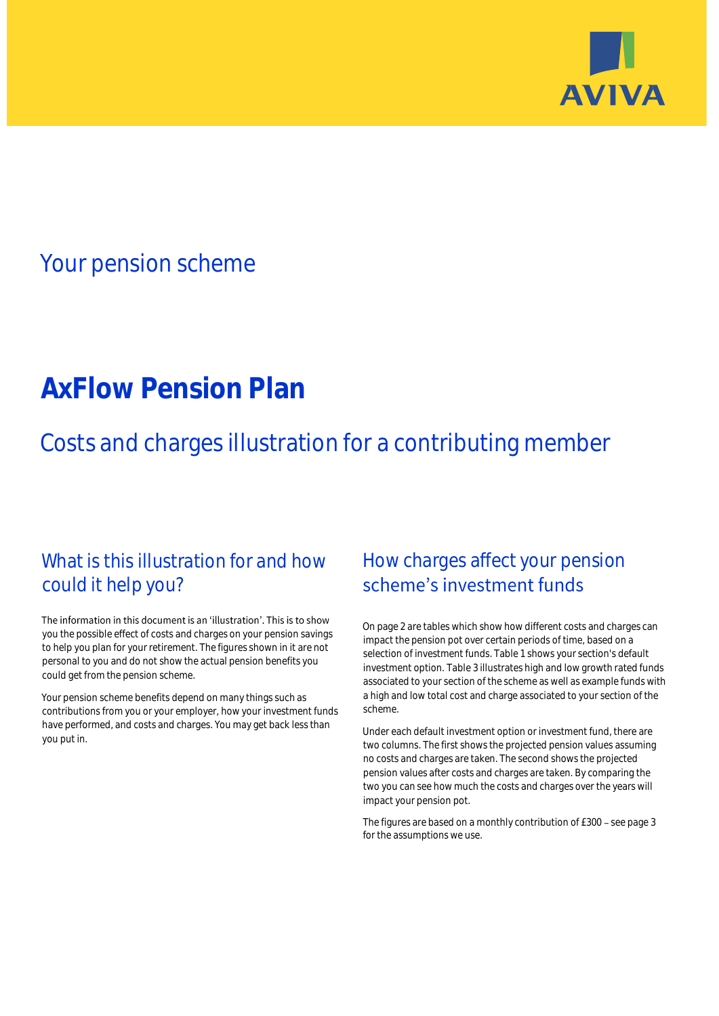

## Your pension scheme

# **AxFlow Pension Plan**

Costs and charges illustration for a contributing member

### What is this illustration for and how could it help you?

#### The information in this document is an 'illustration'. This is to show you the possible effect of costs and charges on your pension savings to help you plan for your retirement. The figures shown in it are not personal to you and do not show the actual pension benefits you could get from the pension scheme.

Your pension scheme benefits depend on many things such as contributions from you or your employer, how your investment funds have performed, and costs and charges. You may get back less than you put in.

### How charges affect your pension scheme's investment funds

On page 2 are tables which show how different costs and charges can impact the pension pot over certain periods of time, based on a selection of investment funds. Table 1 shows your section's default investment option. Table 3 illustrates high and low growth rated funds associated to your section of the scheme as well as example funds with a high and low total cost and charge associated to your section of the scheme.

Under each default investment option or investment fund, there are two columns. The first shows the projected pension values assuming no costs and charges are taken. The second shows the projected pension values after costs and charges are taken. By comparing the two you can see how much the costs and charges over the years will impact your pension pot.

The figures are based on a monthly contribution of £300 - see page 3 for the assumptions we use.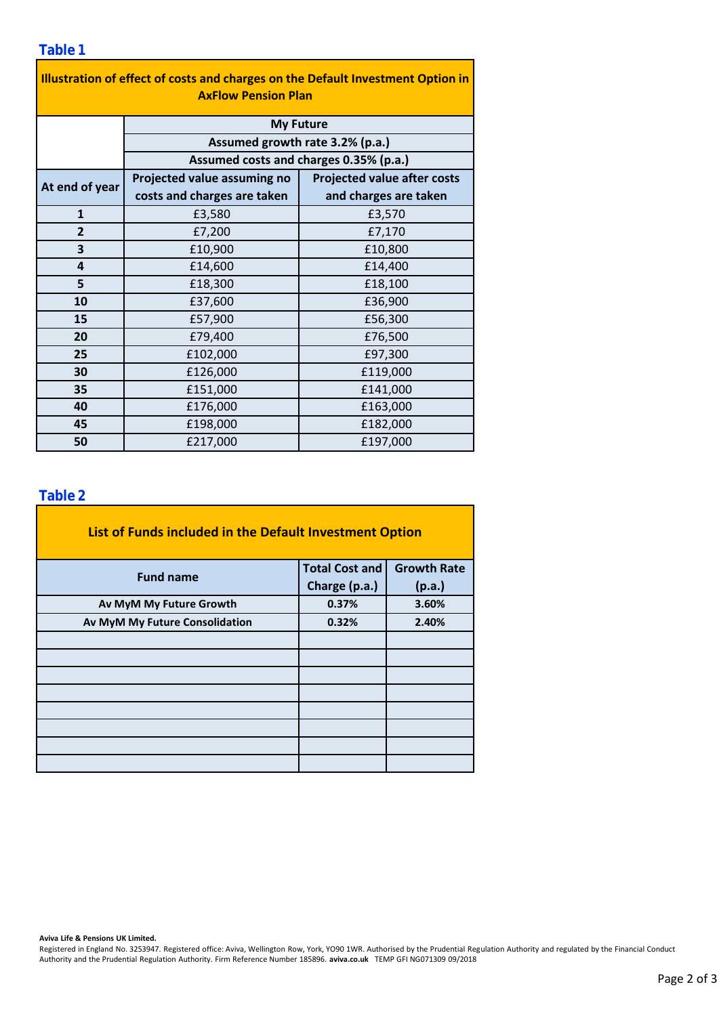| Illustration of effect of costs and charges on the Default Investment Option in<br><b>AxFlow Pension Plan</b> |                                        |                                    |  |  |  |  |
|---------------------------------------------------------------------------------------------------------------|----------------------------------------|------------------------------------|--|--|--|--|
|                                                                                                               | <b>My Future</b>                       |                                    |  |  |  |  |
|                                                                                                               | Assumed growth rate 3.2% (p.a.)        |                                    |  |  |  |  |
|                                                                                                               | Assumed costs and charges 0.35% (p.a.) |                                    |  |  |  |  |
| At end of year                                                                                                | Projected value assuming no            | <b>Projected value after costs</b> |  |  |  |  |
|                                                                                                               | costs and charges are taken            | and charges are taken              |  |  |  |  |
| $\mathbf{1}$                                                                                                  | £3,580                                 | £3,570                             |  |  |  |  |
| $\overline{2}$                                                                                                | £7,200                                 | £7,170                             |  |  |  |  |
| 3                                                                                                             | £10,900                                | £10,800                            |  |  |  |  |
| 4                                                                                                             | £14,600                                | £14,400                            |  |  |  |  |
| 5                                                                                                             | £18,300                                | £18,100                            |  |  |  |  |
| 10                                                                                                            | £37,600                                | £36,900                            |  |  |  |  |
| 15                                                                                                            | £57,900                                | £56,300                            |  |  |  |  |
| 20                                                                                                            | £79,400                                | £76,500                            |  |  |  |  |
| 25                                                                                                            | £102,000                               | £97,300                            |  |  |  |  |
| 30                                                                                                            | £126,000                               | £119,000                           |  |  |  |  |
| 35                                                                                                            | £151,000                               | £141,000                           |  |  |  |  |
| 40                                                                                                            | £176,000                               | £163,000                           |  |  |  |  |
| 45                                                                                                            | £198,000                               | £182,000                           |  |  |  |  |
| 50                                                                                                            | £217,000                               | £197,000                           |  |  |  |  |

### **Table 2**

| List of Funds included in the Default Investment Option |                       |                    |
|---------------------------------------------------------|-----------------------|--------------------|
| <b>Fund name</b>                                        | <b>Total Cost and</b> | <b>Growth Rate</b> |
|                                                         | Charge (p.a.)         | (p.a.)             |
| Av MyM My Future Growth                                 | 0.37%                 | 3.60%              |
| Av MyM My Future Consolidation                          | 0.32%                 | 2.40%              |
|                                                         |                       |                    |
|                                                         |                       |                    |
|                                                         |                       |                    |
|                                                         |                       |                    |
|                                                         |                       |                    |
|                                                         |                       |                    |
|                                                         |                       |                    |
|                                                         |                       |                    |

#### **Aviva Life & Pensions UK Limited.**

Registered in England No. 3253947. Registered office: Aviva, Wellington Row, York, YO90 1WR. Authorised by the Prudential Regulation Authority and regulated by the Financial Conduct Authority and the Prudential Regulation Authority. Firm Reference Number 185896. **aviva.co.uk** TEMP GFI NG071309 09/2018